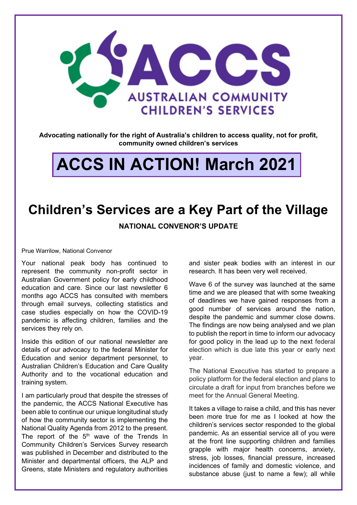

**Advocating nationally for the right of Australia's children to access quality, not for profit, community owned children's services**

# **ACCS IN ACTION! March 2021**

### **Children's Services are a Key Part of the Village**

**NATIONAL CONVENOR'S UPDATE**

Prue Warrilow, National Convenor

Your national peak body has continued to represent the community non-profit sector in Australian Government policy for early childhood education and care. Since our last newsletter 6 months ago ACCS has consulted with members through email surveys, collecting statistics and case studies especially on how the COVID-19 pandemic is affecting children, families and the services they rely on.

Inside this edition of our national newsletter are details of our advocacy to the federal Minister for Education and senior department personnel, to Australian Children's Education and Care Quality Authority and to the vocational education and training system.

I am particularly proud that despite the stresses of the pandemic, the ACCS National Executive has been able to continue our unique longitudinal study of how the community sector is implementing the National Quality Agenda from 2012 to the present. The report of the  $5<sup>th</sup>$  wave of the Trends In Community Children's Services Survey research was published in December and distributed to the Minister and departmental officers, the ALP and Greens, state Ministers and regulatory authorities

and sister peak bodies with an interest in our research. It has been very well received.

Wave 6 of the survey was launched at the same time and we are pleased that with some tweaking of deadlines we have gained responses from a good number of services around the nation, despite the pandemic and summer close downs. The findings are now being analysed and we plan to publish the report in time to inform our advocacy for good policy in the lead up to the next federal election which is due late this year or early next year.

The National Executive has started to prepare a policy platform for the federal election and plans to circulate a draft for input from branches before we meet for the Annual General Meeting.

It takes a village to raise a child, and this has never been more true for me as I looked at how the children's services sector responded to the global pandemic. As an essential service all of you were at the front line supporting children and families grapple with major health concerns, anxiety, stress, job losses, financial pressure, increased incidences of family and domestic violence, and substance abuse (just to name a few); all while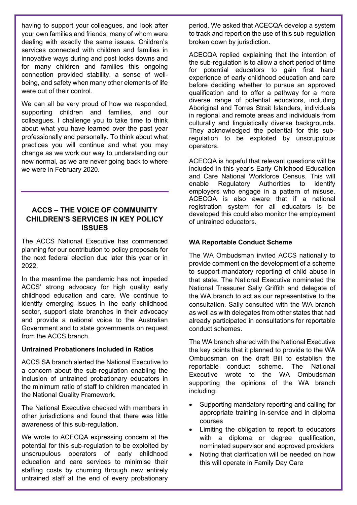having to support your colleagues, and look after your own families and friends, many of whom were dealing with exactly the same issues. Children's services connected with children and families in innovative ways during and post locks downs and for many children and families this ongoing connection provided stability, a sense of wellbeing, and safety when many other elements of life were out of their control.

We can all be very proud of how we responded, supporting children and families, and our colleagues. I challenge you to take time to think about what you have learned over the past year professionally and personally. To think about what practices you will continue and what you may change as we work our way to understanding our new normal, as we are never going back to where we were in February 2020.

#### **ACCS – THE VOICE OF COMMUNITY CHILDREN'S SERVICES IN KEY POLICY ISSUES**

The ACCS National Executive has commenced planning for our contribution to policy proposals for the next federal election due later this year or in 2022.

In the meantime the pandemic has not impeded ACCS' strong advocacy for high quality early childhood education and care. We continue to identify emerging issues in the early childhood sector, support state branches in their advocacy and provide a national voice to the Australian Government and to state governments on request from the ACCS branch.

#### **Untrained Probationers Included in Ratios**

ACCS SA branch alerted the National Executive to a concern about the sub-regulation enabling the inclusion of untrained probationary educators in the minimum ratio of staff to children mandated in the National Quality Framework.

The National Executive checked with members in other jurisdictions and found that there was little awareness of this sub-regulation.

We wrote to ACECQA expressing concern at the potential for this sub-regulation to be exploited by unscrupulous operators of early childhood education and care services to minimise their staffing costs by churning through new entirely untrained staff at the end of every probationary period. We asked that ACECQA develop a system to track and report on the use of this sub-regulation broken down by jurisdiction.

ACECQA replied explaining that the intention of the sub-regulation is to allow a short period of time for potential educators to gain first hand experience of early childhood education and care before deciding whether to pursue an approved qualification and to offer a pathway for a more diverse range of potential educators, including Aboriginal and Torres Strait Islanders, individuals in regional and remote areas and individuals from culturally and linguistically diverse backgrounds. They acknowledged the potential for this subregulation to be exploited by unscrupulous operators.

ACECQA is hopeful that relevant questions will be included in this year's Early Childhood Education and Care National Workforce Census. This will enable Regulatory Authorities to identify employers who engage in a pattern of misuse. ACECQA is also aware that if a national registration system for all educators is be developed this could also monitor the employment of untrained educators.

#### **WA Reportable Conduct Scheme**

The WA Ombudsman invited ACCS nationally to provide comment on the development of a scheme to support mandatory reporting of child abuse in that state. The National Executive nominated the National Treasurer Sally Griffith and delegate of the WA branch to act as our representative to the consultation. Sally consulted with the WA branch as well as with delegates from other states that had already participated in consultations for reportable conduct schemes.

The WA branch shared with the National Executive the key points that it planned to provide to the WA Ombudsman on the draft Bill to establish the reportable conduct scheme. The National Executive wrote to the WA Ombudsman supporting the opinions of the WA branch including:

- Supporting mandatory reporting and calling for appropriate training in-service and in diploma courses
- Limiting the obligation to report to educators with a diploma or degree qualification, nominated supervisor and approved providers
- Noting that clarification will be needed on how this will operate in Family Day Care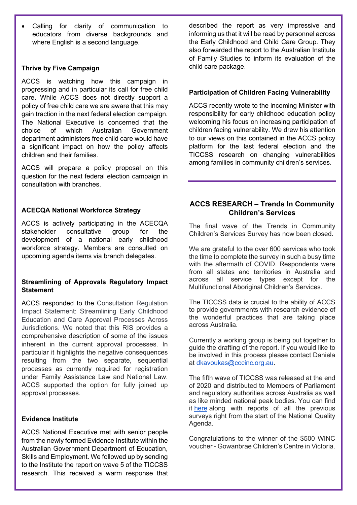Calling for clarity of communication to educators from diverse backgrounds and where English is a second language.

#### **Thrive by Five Campaign**

ACCS is watching how this campaign in progressing and in particular its call for free child care. While ACCS does not directly support a policy of free child care we are aware that this may gain traction in the next federal election campaign. The National Executive is concerned that the choice of which Australian Government department administers free child care would have a significant impact on how the policy affects children and their families.

ACCS will prepare a policy proposal on this question for the next federal election campaign in consultation with branches.

#### **ACECQA National Workforce Strategy**

ACCS is actively participating in the ACECQA stakeholder consultative group for the development of a national early childhood workforce strategy. Members are consulted on upcoming agenda items via branch delegates.

#### **Streamlining of Approvals Regulatory Impact Statement**

ACCS responded to the Consultation Regulation Impact Statement: [Streamlining Early Childhood](https://www.dese.gov.au/child-care-package/resources/streamlining-early-childhood-education-and-care-approval-processes-across-jurisdictions-consultation)  [Education and Care Approval Processes Across](https://www.dese.gov.au/child-care-package/resources/streamlining-early-childhood-education-and-care-approval-processes-across-jurisdictions-consultation)  [Jurisdictions.](https://www.dese.gov.au/child-care-package/resources/streamlining-early-childhood-education-and-care-approval-processes-across-jurisdictions-consultation) We noted that this RIS provides a comprehensive description of some of the issues inherent in the current approval processes. In particular it highlights the negative consequences resulting from the two separate, sequential processes as currently required for registration under Family Assistance Law and National Law. ACCS supported the option for fully joined up approval processes.

#### **Evidence Institute**

ACCS National Executive met with senior people from the newly formed Evidence Institute within the Australian Government Department of Education, Skills and Employment. We followed up by sending to the Institute the report on wave 5 of the TICCSS research. This received a warm response that

described the report as very impressive and informing us that it will be read by personnel across the Early Childhood and Child Care Group. They also forwarded the report to the Australian Institute of Family Studies to inform its evaluation of the child care package.

#### **Participation of Children Facing Vulnerability**

ACCS recently wrote to the incoming Minister with responsibility for early childhood education policy welcoming his focus on increasing participation of children facing vulnerability. We drew his attention to our views on this contained in the ACCS policy platform for the last federal election and the TICCSS research on changing vulnerabilities among families in community children's services.

#### **ACCS RESEARCH – Trends In Community Children's Services**

The final wave of the Trends in Community Children's Services Survey has now been closed.

We are grateful to the over 600 services who took the time to complete the survey in such a busy time with the aftermath of COVID. Respondents were from all states and territories in Australia and across all service types except for the Multifunctional Aboriginal Children's Services.

The TICCSS data is crucial to the ability of ACCS to provide governments with research evidence of the wonderful practices that are taking place across Australia.

Currently a working group is being put together to guide the drafting of the report. If you would like to be involved in this process please contact Daniela at [dkavoukas@cccinc.org.au.](mailto:dkavoukas@cccinc.org.au)

The fifth wave of TICCSS was released at the end of 2020 and distributed to Members of Parliament and regulatory authorities across Australia as well as like minded national peak bodies. You can find it [here](http://ausccs.org.au/?page_id=93) along with reports of all the previous surveys right from the start of the National Quality Agenda.

Congratulations to the winner of the \$500 WINC voucher - Gowanbrae Children's Centre in Victoria.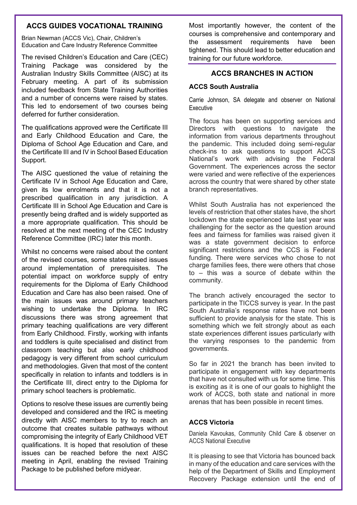#### **ACCS GUIDES VOCATIONAL TRAINING**

Brian Newman (ACCS Vic), Chair, Children's Education and Care Industry Reference Committee

The revised Children's Education and Care (CEC) Training Package was considered by the Australian Industry Skills Committee (AISC) at its February meeting. A part of its submission included feedback from State Training Authorities and a number of concerns were raised by states. This led to endorsement of two courses being deferred for further consideration.

The qualifications approved were the Certificate III and Early Childhood Education and Care, the Diploma of School Age Education and Care, and the Certificate III and IV in School Based Education Support.

The AISC questioned the value of retaining the Certificate IV in School Age Education and Care, given its low enrolments and that it is not a prescribed qualification in any jurisdiction. A Certificate III in School Age Education and Care is presently being drafted and is widely supported as a more appropriate qualification. This should be resolved at the next meeting of the CEC Industry Reference Committee (IRC) later this month.

Whilst no concerns were raised about the content of the revised courses, some states raised issues around implementation of prerequisites. The potential impact on workforce supply of entry requirements for the Diploma of Early Childhood Education and Care has also been raised. One of the main issues was around primary teachers wishing to undertake the Diploma. In IRC discussions there was strong agreement that primary teaching qualifications are very different from Early Childhood. Firstly, working with infants and toddlers is quite specialised and distinct from classroom teaching but also early childhood pedagogy is very different from school curriculum and methodologies. Given that most of the content specifically in relation to infants and toddlers is in the Certificate III, direct entry to the Diploma for primary school teachers is problematic.

Options to resolve these issues are currently being developed and considered and the IRC is meeting directly with AISC members to try to reach an outcome that creates suitable pathways without compromising the integrity of Early Childhood VET qualifications. It is hoped that resolution of these issues can be reached before the next AISC meeting in April, enabling the revised Training Package to be published before midyear.

Most importantly however, the content of the courses is comprehensive and contemporary and the assessment requirements have been tightened. This should lead to better education and training for our future workforce.

#### **ACCS BRANCHES IN ACTION**

#### **ACCS South Australia**

Carrie Johnson, SA delegate and observer on National **Executive** 

The focus has been on supporting services and Directors with questions to navigate the information from various departments throughout the pandemic. This included doing semi-regular check-ins to ask questions to support ACCS National's work with advising the Federal Government. The experiences across the sector were varied and were reflective of the experiences across the country that were shared by other state branch representatives.

Whilst South Australia has not experienced the levels of restriction that other states have, the short lockdown the state experienced late last year was challenging for the sector as the question around fees and fairness for families was raised given it was a state government decision to enforce significant restrictions and the CCS is Federal funding. There were services who chose to not charge families fees, there were others that chose to – this was a source of debate within the community.

The branch actively encouraged the sector to participate in the TICCS survey is year. In the past South Australia's response rates have not been sufficient to provide analysis for the state. This is something which we felt strongly about as each state experiences different issues particularly with the varying responses to the pandemic from governments.

So far in 2021 the branch has been invited to participate in engagement with key departments that have not consulted with us for some time. This is exciting as it is one of our goals to highlight the work of ACCS, both state and national in more arenas that has been possible in recent times.

#### **ACCS Victoria**

Daniela Kavoukas, Community Child Care & observer on ACCS National Executive

It is pleasing to see that Victoria has bounced back in many of the education and care services with the help of the Department of Skills and Employment Recovery Package extension until the end of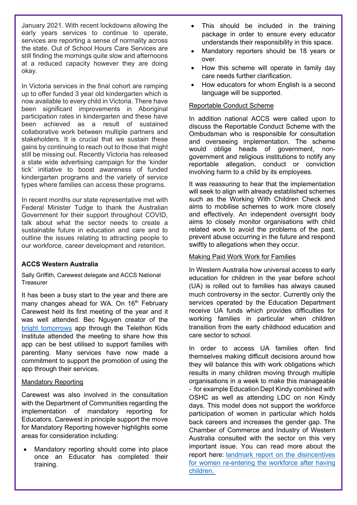January 2021. With recent lockdowns allowing the early years services to continue to operate, services are reporting a sense of normality across the state. Out of School Hours Care Services are still finding the mornings quite slow and afternoons at a reduced capacity however they are doing okay.

In Victoria services in the final cohort are ramping up to offer funded 3 year old kindergarten which is now available to every child in Victoria. There have been significant improvements in Aboriginal participation rates in kindergarten and these have been achieved as a result of sustained collaborative work between multiple partners and stakeholders. It is crucial that we sustain these gains by continuing to reach out to those that might still be missing out. Recently Victoria has released a state wide advertising campaign for the 'kinder tick' initiative to boost awareness of funded kindergarten programs and the variety of service types where families can access these programs.

In recent months our state representative met with Federal Minister Tudge to thank the Australian Government for their support throughout COVID, talk about what the sector needs to create a sustainable future in education and care and to outline the issues relating to attracting people to our workforce, career development and retention.

#### **ACCS Western Australia**

Sally Griffith, Carewest delegate and ACCS National **Treasurer** 

It has been a busy start to the year and there are many changes ahead for WA. On 16<sup>th</sup> February Carewest held its first meeting of the year and it was well attended. Bec Nguyen creator of the [bright tomorrows](https://www.brighttomorrows.org.au/) app through the Telethon Kids Institute attended the meeting to share how this app can be best utilised to support families with parenting. Many services have now made a commitment to support the promotion of using the app through their services.

#### Mandatory Reporting

Carewest was also involved in the consultation with the Department of Communities regarding the implementation of mandatory reporting for Educators. Carewest in principle support the move for Mandatory Reporting however highlights some areas for consideration including:

• Mandatory reporting should come into place once an Educator has completed their training.

- This should be included in the training package in order to ensure every educator understands their responsibility in this space.
- Mandatory reporters should be 18 years or over.
- How this scheme will operate in family day care needs further clarification.
- How educators for whom English is a second language will be supported.

#### Reportable Conduct Scheme

In addition national ACCS were called upon to discuss the Reportable Conduct Scheme with the Ombudsman who is responsible for consultation and overseeing implementation. The scheme would oblige heads of government, nongovernment and religious institutions to notify any reportable allegation, conduct or conviction involving harm to a child by its employees.

It was reassuring to hear that the implementation will seek to align with already established schemes such as the Working With Children Check and aims to mobilise schemes to work more closely and effectively. An independent oversight body aims to closely monitor organisations with child related work to avoid the problems of the past, prevent abuse occurring in the future and respond swiftly to allegations when they occur.

#### Making Paid Work Work for Families

In Western Australia how universal access to early education for children in the year before school (UA) is rolled out to families has always caused much controversy in the sector. Currently only the services operated by the Education Department receive UA funds which provides difficulties for working families in particular when children transition from the early childhood education and care sector to school.

In order to access UA families often find themselves making difficult decisions around how they will balance this with work obligations which results in many children moving through multiple organisations in a week to make this manageable - for example Education Dept Kindy combined with OSHC as well as attending LDC on non Kindy days. This model does not support the workforce participation of women in particular which holds back careers and increases the gender gap. The Chamber of Commerce and Industry of Western Australia consulted with the sector on this very important issue. You can read more about the report here: [landmark report on the disincentives](https://cciwa.com/advocating-for-change/making-paid-work-pay/)  [for women re-entering the workforce after having](https://cciwa.com/advocating-for-change/making-paid-work-pay/)  [children.](https://cciwa.com/advocating-for-change/making-paid-work-pay/)